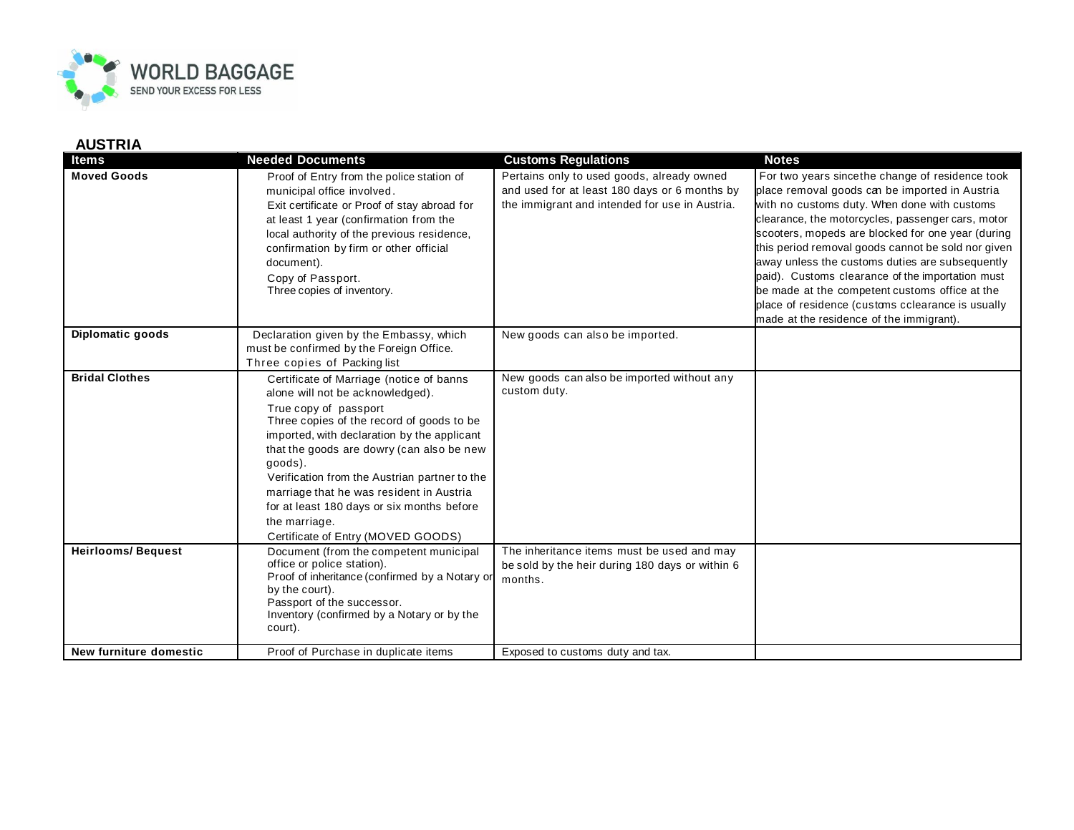

## **AUSTRIA**

| <b>Items</b>             | <b>Needed Documents</b>                                                                                                                                                                                                                                                                                                                                                                                                                                     | <b>Customs Regulations</b>                                                                                                                    | <b>Notes</b>                                                                                                                                                                                                                                                                                                                                                                                                                                                                                                                                                                |
|--------------------------|-------------------------------------------------------------------------------------------------------------------------------------------------------------------------------------------------------------------------------------------------------------------------------------------------------------------------------------------------------------------------------------------------------------------------------------------------------------|-----------------------------------------------------------------------------------------------------------------------------------------------|-----------------------------------------------------------------------------------------------------------------------------------------------------------------------------------------------------------------------------------------------------------------------------------------------------------------------------------------------------------------------------------------------------------------------------------------------------------------------------------------------------------------------------------------------------------------------------|
| <b>Moved Goods</b>       | Proof of Entry from the police station of<br>municipal office involved.<br>Exit certificate or Proof of stay abroad for<br>at least 1 year (confirmation from the<br>local authority of the previous residence,<br>confirmation by firm or other official<br>document).<br>Copy of Passport.<br>Three copies of inventory.                                                                                                                                  | Pertains only to used goods, already owned<br>and used for at least 180 days or 6 months by<br>the immigrant and intended for use in Austria. | For two years sincethe change of residence took<br>place removal goods can be imported in Austria<br>with no customs duty. When done with customs<br>clearance, the motorcycles, passenger cars, motor<br>scooters, mopeds are blocked for one year (during<br>this period removal goods cannot be sold nor given<br>away unless the customs duties are subsequently<br>paid). Customs clearance of the importation must<br>be made at the competent customs office at the<br>place of residence (customs cclearance is usually<br>made at the residence of the immigrant). |
| Diplomatic goods         | Declaration given by the Embassy, which<br>must be confirmed by the Foreign Office.<br>Three copies of Packing list                                                                                                                                                                                                                                                                                                                                         | New goods can also be imported.                                                                                                               |                                                                                                                                                                                                                                                                                                                                                                                                                                                                                                                                                                             |
| <b>Bridal Clothes</b>    | Certificate of Marriage (notice of banns<br>alone will not be acknowledged).<br>True copy of passport<br>Three copies of the record of goods to be<br>imported, with declaration by the applicant<br>that the goods are dowry (can also be new<br>goods).<br>Verification from the Austrian partner to the<br>marriage that he was resident in Austria<br>for at least 180 days or six months before<br>the marriage.<br>Certificate of Entry (MOVED GOODS) | New goods can also be imported without any<br>custom duty.                                                                                    |                                                                                                                                                                                                                                                                                                                                                                                                                                                                                                                                                                             |
| <b>Heirlooms/Bequest</b> | Document (from the competent municipal<br>office or police station).<br>Proof of inheritance (confirmed by a Notary or<br>by the court).<br>Passport of the successor.<br>Inventory (confirmed by a Notary or by the<br>court).                                                                                                                                                                                                                             | The inheritance items must be used and may<br>be sold by the heir during 180 days or within 6<br>months.                                      |                                                                                                                                                                                                                                                                                                                                                                                                                                                                                                                                                                             |
| New furniture domestic   | Proof of Purchase in duplicate items                                                                                                                                                                                                                                                                                                                                                                                                                        | Exposed to customs duty and tax.                                                                                                              |                                                                                                                                                                                                                                                                                                                                                                                                                                                                                                                                                                             |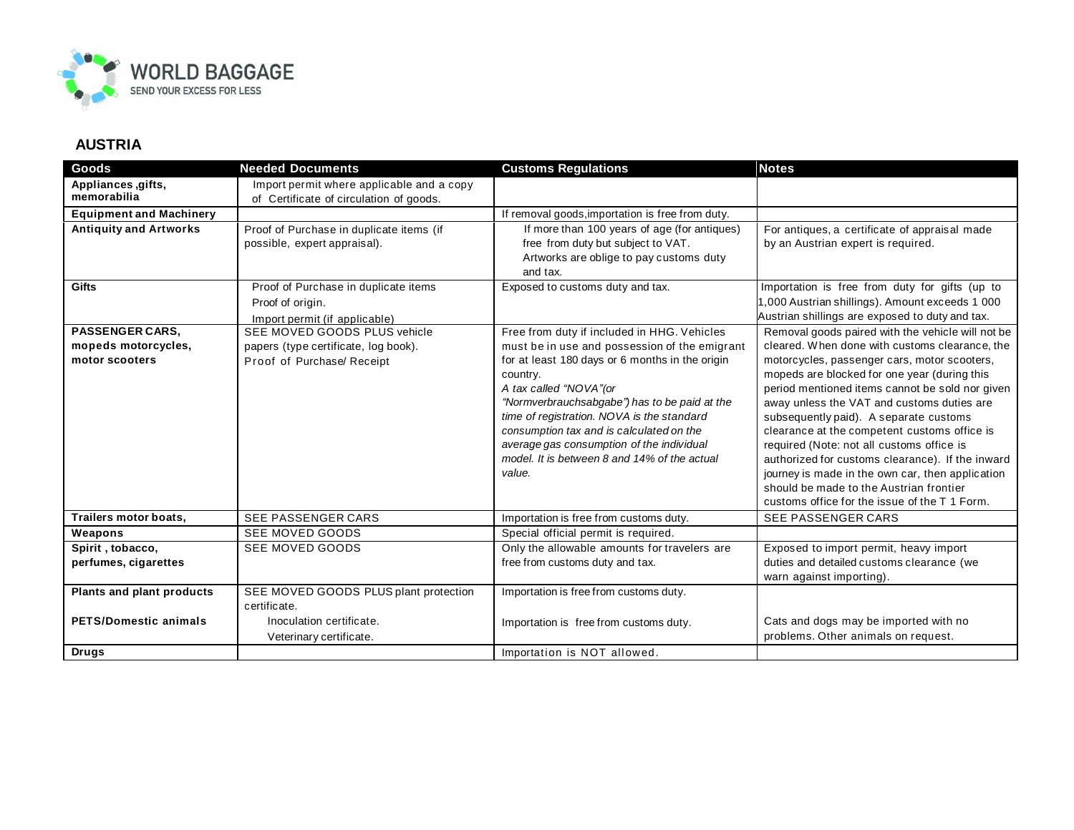

## **AUSTRIA**

| Goods                                                           | <b>Needed Documents</b>                                                                            | <b>Customs Regulations</b>                                                                                                                                                                                                                                                                                                                                                                                                              | <b>Notes</b>                                                                                                                                                                                                                                                                                                                                                                                                                                                                                                                                                                                                                                    |
|-----------------------------------------------------------------|----------------------------------------------------------------------------------------------------|-----------------------------------------------------------------------------------------------------------------------------------------------------------------------------------------------------------------------------------------------------------------------------------------------------------------------------------------------------------------------------------------------------------------------------------------|-------------------------------------------------------------------------------------------------------------------------------------------------------------------------------------------------------------------------------------------------------------------------------------------------------------------------------------------------------------------------------------------------------------------------------------------------------------------------------------------------------------------------------------------------------------------------------------------------------------------------------------------------|
| Appliances, gifts,<br>memorabilia                               | Import permit where applicable and a copy<br>of Certificate of circulation of goods.               |                                                                                                                                                                                                                                                                                                                                                                                                                                         |                                                                                                                                                                                                                                                                                                                                                                                                                                                                                                                                                                                                                                                 |
| <b>Equipment and Machinery</b>                                  |                                                                                                    | If removal goods, importation is free from duty.                                                                                                                                                                                                                                                                                                                                                                                        |                                                                                                                                                                                                                                                                                                                                                                                                                                                                                                                                                                                                                                                 |
| <b>Antiquity and Artworks</b>                                   | Proof of Purchase in duplicate items (if<br>possible, expert appraisal).                           | If more than 100 years of age (for antiques)<br>free from duty but subject to VAT.<br>Artworks are oblige to pay customs duty<br>and tax.                                                                                                                                                                                                                                                                                               | For antiques, a certificate of appraisal made<br>by an Austrian expert is required.                                                                                                                                                                                                                                                                                                                                                                                                                                                                                                                                                             |
| <b>Gifts</b>                                                    | Proof of Purchase in duplicate items<br>Proof of origin.<br>Import permit (if applicable)          | Exposed to customs duty and tax.                                                                                                                                                                                                                                                                                                                                                                                                        | Importation is free from duty for gifts (up to<br>1,000 Austrian shillings). Amount exceeds 1 000<br>Austrian shillings are exposed to duty and tax.                                                                                                                                                                                                                                                                                                                                                                                                                                                                                            |
| <b>PASSENGER CARS,</b><br>mopeds motorcycles,<br>motor scooters | SEE MOVED GOODS PLUS vehicle<br>papers (type certificate, log book).<br>Proof of Purchase/ Receipt | Free from duty if included in HHG. Vehicles<br>must be in use and possession of the emigrant<br>for at least 180 days or 6 months in the origin<br>country.<br>A tax called "NOVA"(or<br>"Normverbrauchsabgabe") has to be paid at the<br>time of registration. NOVA is the standard<br>consumption tax and is calculated on the<br>average gas consumption of the individual<br>model. It is between 8 and 14% of the actual<br>value. | Removal goods paired with the vehicle will not be<br>cleared. When done with customs clearance, the<br>motorcycles, passenger cars, motor scooters,<br>mopeds are blocked for one year (during this<br>period mentioned items cannot be sold nor given<br>away unless the VAT and customs duties are<br>subsequently paid). A separate customs<br>clearance at the competent customs office is<br>required (Note: not all customs office is<br>authorized for customs clearance). If the inward<br>journey is made in the own car, then application<br>should be made to the Austrian frontier<br>customs office for the issue of the T 1 Form. |
| Trailers motor boats,                                           | <b>SEE PASSENGER CARS</b>                                                                          | Importation is free from customs duty.                                                                                                                                                                                                                                                                                                                                                                                                  | <b>SEE PASSENGER CARS</b>                                                                                                                                                                                                                                                                                                                                                                                                                                                                                                                                                                                                                       |
| Weapons                                                         | SEE MOVED GOODS                                                                                    | Special official permit is required.                                                                                                                                                                                                                                                                                                                                                                                                    |                                                                                                                                                                                                                                                                                                                                                                                                                                                                                                                                                                                                                                                 |
| Spirit, tobacco,<br>perfumes, cigarettes                        | SEE MOVED GOODS                                                                                    | Only the allowable amounts for travelers are<br>free from customs duty and tax.                                                                                                                                                                                                                                                                                                                                                         | Exposed to import permit, heavy import<br>duties and detailed customs clearance (we<br>warn against importing).                                                                                                                                                                                                                                                                                                                                                                                                                                                                                                                                 |
| Plants and plant products                                       | SEE MOVED GOODS PLUS plant protection<br>certificate.                                              | Importation is free from customs duty.                                                                                                                                                                                                                                                                                                                                                                                                  |                                                                                                                                                                                                                                                                                                                                                                                                                                                                                                                                                                                                                                                 |
| <b>PETS/Domestic animals</b>                                    | Inoculation certificate.<br>Veterinary certificate.                                                | Importation is free from customs duty.                                                                                                                                                                                                                                                                                                                                                                                                  | Cats and dogs may be imported with no<br>problems. Other animals on request.                                                                                                                                                                                                                                                                                                                                                                                                                                                                                                                                                                    |
| <b>Drugs</b>                                                    |                                                                                                    | Importation is NOT allowed.                                                                                                                                                                                                                                                                                                                                                                                                             |                                                                                                                                                                                                                                                                                                                                                                                                                                                                                                                                                                                                                                                 |